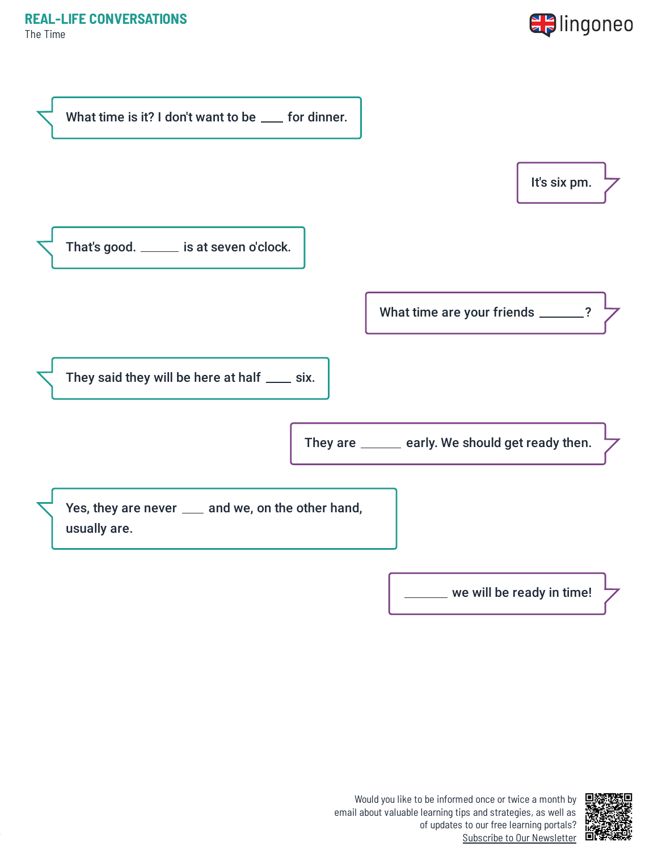The Time